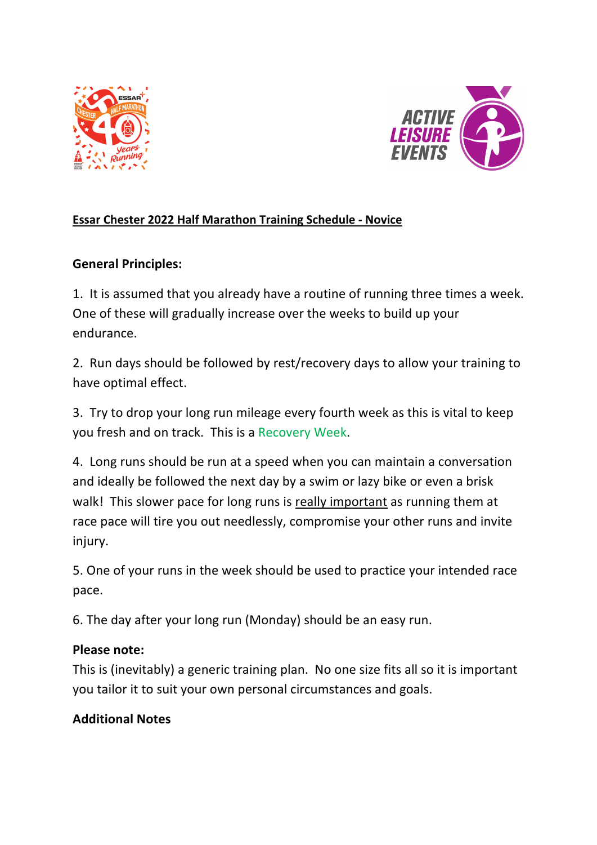



## **Essar Chester 2022 Half Marathon Training Schedule - Novice**

## **General Principles:**

1. It is assumed that you already have a routine of running three times a week. One of these will gradually increase over the weeks to build up your endurance.

2. Run days should be followed by rest/recovery days to allow your training to have optimal effect.

3. Try to drop your long run mileage every fourth week as this is vital to keep you fresh and on track. This is a Recovery Week.

4. Long runs should be run at a speed when you can maintain a conversation and ideally be followed the next day by a swim or lazy bike or even a brisk walk! This slower pace for long runs is really important as running them at race pace will tire you out needlessly, compromise your other runs and invite injury.

5. One of your runs in the week should be used to practice your intended race pace.

6. The day after your long run (Monday) should be an easy run.

## **Please note:**

This is (inevitably) a generic training plan. No one size fits all so it is important you tailor it to suit your own personal circumstances and goals.

## **Additional Notes**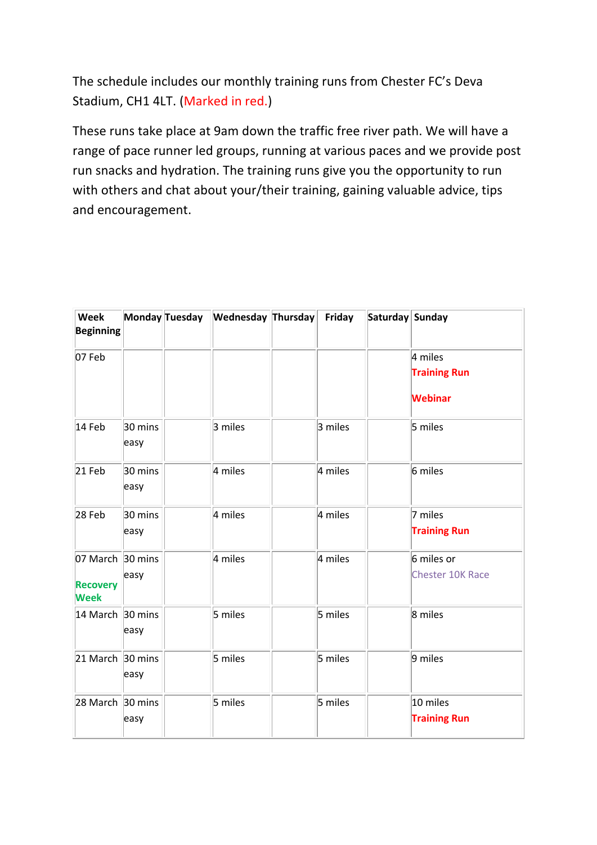The schedule includes our monthly training runs from Chester FC's Deva Stadium, CH1 4LT. (Marked in red.)

These runs take place at 9am down the traffic free river path. We will have a range of pace runner led groups, running at various paces and we provide post run snacks and hydration. The training runs give you the opportunity to run with others and chat about your/their training, gaining valuable advice, tips and encouragement.

| Week<br><b>Beginning</b>                           |                 | Monday Tuesday | <b>Wednesday Thursday</b> | Friday  | Saturday Sunday |                                       |
|----------------------------------------------------|-----------------|----------------|---------------------------|---------|-----------------|---------------------------------------|
| 07 Feb                                             |                 |                |                           |         |                 | 4 miles<br><b>Training Run</b>        |
|                                                    |                 |                |                           |         |                 | <b>Webinar</b>                        |
| 14 Feb                                             | 30 mins<br>easy |                | 3 miles                   | 3 miles |                 | 5 miles                               |
| 21 Feb                                             | 30 mins<br>easy |                | 4 miles                   | 4 miles |                 | 6 miles                               |
| 28 Feb                                             | 30 mins<br>easy |                | 4 miles                   | 4 miles |                 | 7 miles<br><b>Training Run</b>        |
| 07 March 30 mins<br><b>Recovery</b><br><b>Week</b> | easy            |                | 4 miles                   | 4 miles |                 | 6 miles or<br><b>Chester 10K Race</b> |
| 14 March 30 mins                                   | easy            |                | 5 miles                   | 5 miles |                 | 8 miles                               |
| 21 March 30 mins                                   | easy            |                | 5 miles                   | 5 miles |                 | 9 miles                               |
| 28 March 30 mins                                   | easy            |                | 5 miles                   | 5 miles |                 | 10 miles<br><b>Training Run</b>       |